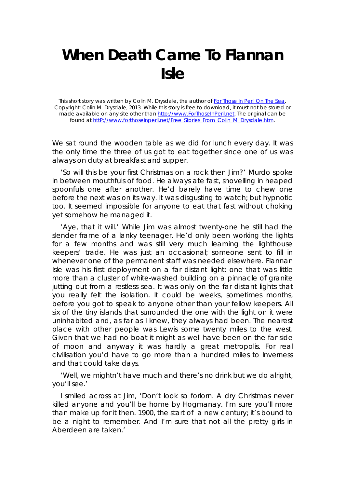## **When Death Came To Flannan Isle**

This short story was written by Colin M. Drysdale, the author of *For Those In Peril On The Sea*. Copyright: Colin M. Drysdale, 2013. While this story is free to download, it must not be stored or made available on any site other than http://www.ForThoseInPeril.net. The original can be found at http://www.forthoseinperil.net/Free\_Stories\_From\_Colin\_M\_Drysdale.htm.

We sat round the wooden table as we did for lunch every day. It was the only time the three of us got to eat together since one of us was always on duty at breakfast and supper.

'So will this be your first Christmas on a rock then Jim?' Murdo spoke in between mouthfuls of food. He always ate fast, shovelling in heaped spoonfuls one after another. He'd barely have time to chew one before the next was on its way. It was disgusting to watch; but hypnotic too. It seemed impossible for anyone to eat that fast without choking yet somehow he managed it.

'Aye, that it will.' While Jim was almost twenty-one he still had the slender frame of a lanky teenager. He'd only been working the lights for a few months and was still very much learning the lighthouse keepers' trade. He was just an occasional; someone sent to fill in whenever one of the permanent staff was needed elsewhere. Flannan Isle was his first deployment on a far distant light: one that was little more than a cluster of white-washed building on a pinnacle of granite jutting out from a restless sea. It was only on the far distant lights that you really felt the isolation. It could be weeks, sometimes months, before you got to speak to anyone other than your fellow keepers. All six of the tiny islands that surrounded the one with the light on it were uninhabited and, as far as I knew, they always had been. The nearest place with other people was Lewis some twenty miles to the west. Given that we had no boat it might as well have been on the far side of moon and anyway it was hardly a great metropolis. For real civilisation you'd have to go more than a hundred miles to Inverness and that could take days.

'Well, we mightn't have much and there's no drink but we do alright, you'll see.'

I smiled across at Jim, 'Don't look so forlorn. A dry Christmas never killed anyone and you'll be home by Hogmanay. I'm sure you'll more than make up for it then. 1900, the start of a new century; it's bound to be a night to remember. And I'm sure that not all the pretty girls in Aberdeen are taken.'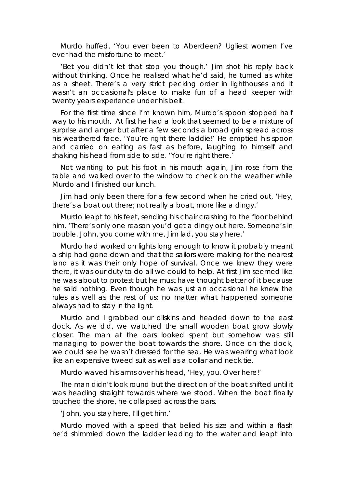Murdo huffed, 'You ever been to Aberdeen? Ugliest women I've ever had the misfortune to meet.'

'Bet you didn't let that stop you though.' Jim shot his reply back without thinking. Once he realised what he'd said, he turned as white as a sheet. There's a very strict pecking order in lighthouses and it wasn't an occasional's place to make fun of a head keeper with twenty years experience under his belt.

For the first time since I'm known him, Murdo's spoon stopped half way to his mouth. At first he had a look that seemed to be a mixture of surprise and anger but after a few seconds a broad grin spread across his weathered face. 'You're right there laddie!' He emptied his spoon and carried on eating as fast as before, laughing to himself and shaking his head from side to side. 'You're right there.'

Not wanting to put his foot in his mouth again, Jim rose from the table and walked over to the window to check on the weather while Murdo and I finished our lunch.

Jim had only been there for a few second when he cried out, 'Hey, there's a boat out there; not really a boat, more like a dingy.'

Murdo leapt to his feet, sending his chair crashing to the floor behind him. 'There's only one reason you'd get a dingy out here. Someone's in trouble. John, you come with me, Jim lad, you stay here.'

Murdo had worked on lights long enough to know it probably meant a ship had gone down and that the sailors were making for the nearest land as it was their only hope of survival. Once we knew they were there, it was our duty to do all we could to help. At first Jim seemed like he was about to protest but he must have thought better of it because he said nothing. Even though he was just an occasional he knew the rules as well as the rest of us: no matter what happened someone always had to stay in the light.

Murdo and I grabbed our oilskins and headed down to the east dock. As we did, we watched the small wooden boat grow slowly closer. The man at the oars looked spent but somehow was still managing to power the boat towards the shore. Once on the dock, we could see he wasn't dressed for the sea. He was wearing what look like an expensive tweed suit as well as a collar and neck tie.

Murdo waved his arms over his head, 'Hey, you. Over here!'

The man didn't look round but the direction of the boat shifted until it was heading straight towards where we stood. When the boat finally touched the shore, he collapsed across the oars.

'John, you stay here, I'll get him.'

Murdo moved with a speed that belied his size and within a flash he'd shimmied down the ladder leading to the water and leapt into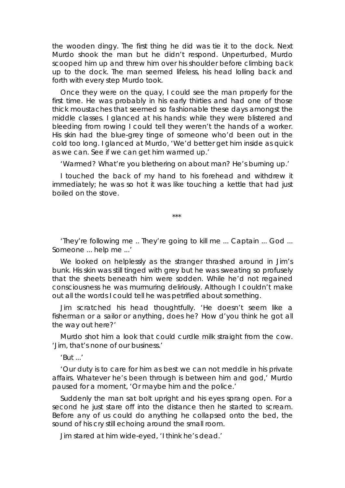the wooden dingy. The first thing he did was tie it to the dock. Next Murdo shook the man but he didn't respond. Unperturbed, Murdo scooped him up and threw him over his shoulder before climbing back up to the dock. The man seemed lifeless, his head lolling back and forth with every step Murdo took.

Once they were on the quay, I could see the man properly for the first time. He was probably in his early thirties and had one of those thick moustaches that seemed so fashionable these days amongst the middle classes. I glanced at his hands: while they were blistered and bleeding from rowing I could tell they weren't the hands of a worker. His skin had the blue-grey tinge of someone who'd been out in the cold too long. I glanced at Murdo, 'We'd better get him inside as quick as we can. See if we can get him warmed up.'

'Warmed? What're you blethering on about man? He's burning up.'

I touched the back of my hand to his forehead and withdrew it immediately; he was so hot it was like touching a kettle that had just boiled on the stove.

\*\*\*

'They're following me .. They're going to kill me ... Captain ... God ... Someone ... help me ...'

We looked on helplessly as the stranger thrashed around in Jim's bunk. His skin was still tinged with grey but he was sweating so profusely that the sheets beneath him were sodden. While he'd not regained consciousness he was murmuring deliriously. Although I couldn't make out all the words I could tell he was petrified about something.

Jim scratched his head thoughtfully. 'He doesn't seem like a fisherman or a sailor or anything, does he? How d'you think he got all the way out here?'

Murdo shot him a look that could curdle milk straight from the cow. 'Jim, that's none of our business.'

'But ...'

'Our duty is to care for him as best we can not meddle in his private affairs. Whatever he's been through is between him and god,' Murdo paused for a moment, 'Or maybe him and the police.'

Suddenly the man sat bolt upright and his eyes sprang open. For a second he just stare off into the distance then he started to scream. Before any of us could do anything he collapsed onto the bed, the sound of his cry still echoing around the small room.

Jim stared at him wide-eyed, 'I think he's dead.'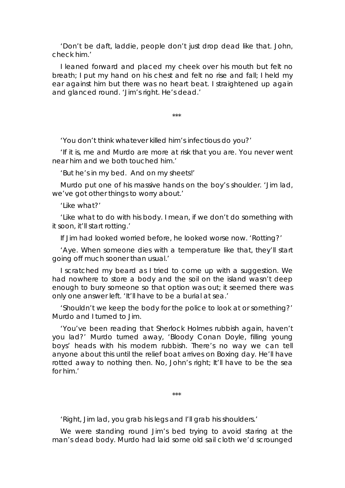'Don't be daft, laddie, people don't just drop dead like that. John, check him.'

I leaned forward and placed my cheek over his mouth but felt no breath; I put my hand on his chest and felt no rise and fall; I held my ear against him but there was no heart beat. I straightened up again and glanced round. 'Jim's right. He's dead.'

\*\*\*

'You don't think whatever killed him's infectious do you?'

'If it is, me and Murdo are more at risk that you are. You never went near him and we both touched him.'

'But he's in my bed. And on my sheets!'

Murdo put one of his massive hands on the boy's shoulder. 'Jim lad, we've got other things to worry about.'

'Like what?'

'Like what to do with his body. I mean, if we don't do something with it soon, it'll start rotting.'

If Jim had looked worried before, he looked worse now. 'Rotting?'

'Aye. When someone dies with a temperature like that, they'll start going off much sooner than usual.'

I scratched my beard as I tried to come up with a suggestion. We had nowhere to store a body and the soil on the island wasn't deep enough to bury someone so that option was out; it seemed there was only one answer left. 'It'll have to be a burial at sea.'

'Shouldn't we keep the body for the police to look at or something?' Murdo and I turned to Jim.

'You've been reading that Sherlock Holmes rubbish again, haven't you lad?' Murdo turned away, 'Bloody Conan Doyle, filling young boys' heads with his modern rubbish. There's no way we can tell anyone about this until the relief boat arrives on Boxing day. He'll have rotted away to nothing then. No, John's right; It'll have to be the sea for him.'

\*\*\*

'Right, Jim lad, you grab his legs and I'll grab his shoulders.'

We were standing round Jim's bed trying to avoid staring at the man's dead body. Murdo had laid some old sail cloth we'd scrounged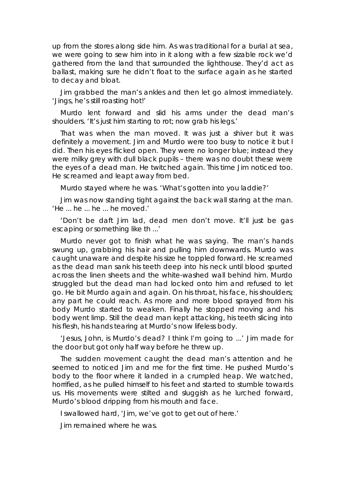up from the stores along side him. As was traditional for a burial at sea, we were going to sew him into in it along with a few sizable rock we'd gathered from the land that surrounded the lighthouse. They'd act as ballast, making sure he didn't float to the surface again as he started to decay and bloat.

Jim grabbed the man's ankles and then let go almost immediately. 'Jings, he's still roasting hot!'

Murdo lent forward and slid his arms under the dead man's shoulders. 'It's just him starting to rot; now grab his legs.'

That was when the man moved. It was just a shiver but it was definitely a movement. Jim and Murdo were too busy to notice it but I did. Then his eyes flicked open. They were no longer blue; instead they were milky grey with dull black pupils – there was no doubt these were the eyes of a dead man. He twitched again. This time Jim noticed too. He screamed and leapt away from bed.

Murdo stayed where he was. 'What's gotten into you laddie?'

Jim was now standing tight against the back wall staring at the man. 'He ... he ... he ... he moved.'

'Don't be daft Jim lad, dead men don't move. It'll just be gas escaping or something like th ...'

Murdo never got to finish what he was saying. The man's hands swung up, grabbing his hair and pulling him downwards. Murdo was caught unaware and despite his size he toppled forward. He screamed as the dead man sank his teeth deep into his neck until blood spurted across the linen sheets and the white-washed wall behind him. Murdo struggled but the dead man had locked onto him and refused to let go. He bit Murdo again and again. On his throat, his face, his shoulders; any part he could reach. As more and more blood sprayed from his body Murdo started to weaken. Finally he stopped moving and his body went limp. Still the dead man kept attacking, his teeth slicing into his flesh, his hands tearing at Murdo's now lifeless body.

'Jesus, John, is Murdo's dead? I think I'm going to ...' Jim made for the door but got only half way before he threw up.

The sudden movement caught the dead man's attention and he seemed to noticed Jim and me for the first time. He pushed Murdo's body to the floor where it landed in a crumpled heap. We watched, horrified, as he pulled himself to his feet and started to stumble towards us. His movements were stilted and sluggish as he lurched forward, Murdo's blood dripping from his mouth and face.

I swallowed hard, 'Jim, we've got to get out of here.'

Jim remained where he was.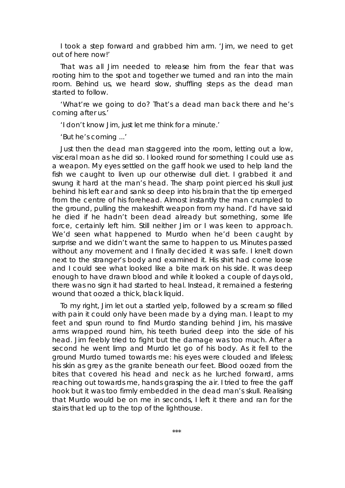I took a step forward and grabbed him arm. 'Jim, we need to get out of here now!'

That was all Jim needed to release him from the fear that was rooting him to the spot and together we turned and ran into the main room. Behind us, we heard slow, shuffling steps as the dead man started to follow.

'What're we going to do? That's a dead man back there and he's coming after us.'

'I don't know Jim, just let me think for a minute.'

'But he's coming ...'

Just then the dead man staggered into the room, letting out a low, visceral moan as he did so. I looked round for something I could use as a weapon. My eyes settled on the gaff hook we used to help land the fish we caught to liven up our otherwise dull diet. I grabbed it and swung it hard at the man's head. The sharp point pierced his skull just behind his left ear and sank so deep into his brain that the tip emerged from the centre of his forehead. Almost instantly the man crumpled to the ground, pulling the makeshift weapon from my hand. I'd have said he died if he hadn't been dead already but something, some life force, certainly left him. Still neither Jim or I was keen to approach. We'd seen what happened to Murdo when he'd been caught by surprise and we didn't want the same to happen to us. Minutes passed without any movement and I finally decided it was safe. I knelt down next to the stranger's body and examined it. His shirt had come loose and I could see what looked like a bite mark on his side. It was deep enough to have drawn blood and while it looked a couple of days old, there was no sign it had started to heal. Instead, it remained a festering wound that oozed a thick, black liquid.

To my right, Jim let out a startled yelp, followed by a scream so filled with pain it could only have been made by a dying man. I leapt to my feet and spun round to find Murdo standing behind Jim, his massive arms wrapped round him, his teeth buried deep into the side of his head. Jim feebly tried to fight but the damage was too much. After a second he went limp and Murdo let go of his body. As it fell to the ground Murdo turned towards me: his eyes were clouded and lifeless; his skin as grey as the granite beneath our feet. Blood oozed from the bites that covered his head and neck as he lurched forward, arms reaching out towards me, hands grasping the air. I tried to free the gaff hook but it was too firmly embedded in the dead man's skull. Realising that Murdo would be on me in seconds, I left it there and ran for the stairs that led up to the top of the lighthouse.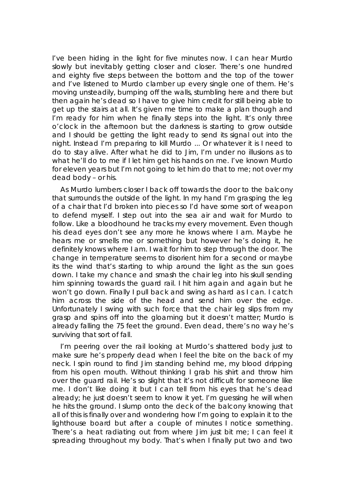I've been hiding in the light for five minutes now. I can hear Murdo slowly but inevitably getting closer and closer. There's one hundred and eighty five steps between the bottom and the top of the tower and I've listened to Murdo clamber up every single one of them. He's moving unsteadily, bumping off the walls, stumbling here and there but then again he's dead so I have to give him credit for still being able to get up the stairs at all. It's given me time to make a plan though and I'm ready for him when he finally steps into the light. It's only three o'clock in the afternoon but the darkness is starting to grow outside and I should be getting the light ready to send its signal out into the night. Instead I'm preparing to kill Murdo ... Or whatever it is I need to do to stay alive. After what he did to Jim, I'm under no illusions as to what he'll do to me if I let him get his hands on me. I've known Murdo for eleven years but I'm not going to let him do that to me; not over my dead body – or his.

As Murdo lumbers closer I back off towards the door to the balcony that surrounds the outside of the light. In my hand I'm grasping the leg of a chair that I'd broken into pieces so I'd have some sort of weapon to defend myself. I step out into the sea air and wait for Murdo to follow. Like a bloodhound he tracks my every movement. Even though his dead eyes don't see any more he knows where I am. Maybe he hears me or smells me or something but however he's doing it, he definitely knows where I am. I wait for him to step through the door. The change in temperature seems to disorient him for a second or maybe its the wind that's starting to whip around the light as the sun goes down. I take my chance and smash the chair leg into his skull sending him spinning towards the guard rail. I hit him again and again but he won't go down. Finally I pull back and swing as hard as I can. I catch him across the side of the head and send him over the edge. Unfortunately I swing with such force that the chair leg slips from my grasp and spins off into the gloaming but it doesn't matter; Murdo is already falling the 75 feet the ground. Even dead, there's no way he's surviving that sort of fall.

I'm peering over the rail looking at Murdo's shattered body just to make sure he's properly dead when I feel the bite on the back of my neck. I spin round to find Jim standing behind me, my blood dripping from his open mouth. Without thinking I grab his shirt and throw him over the guard rail. He's so slight that it's not difficult for someone like me. I don't like doing it but I can tell from his eyes that he's dead already; he just doesn't seem to know it yet. I'm guessing he will when he hits the ground. I slump onto the deck of the balcony knowing that all of this is finally over and wondering how I'm going to explain it to the lighthouse board but after a couple of minutes I notice something. There's a heat radiating out from where Jim just bit me; I can feel it spreading throughout my body. That's when I finally put two and two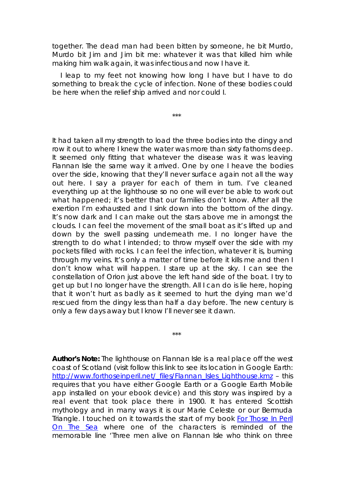together. The dead man had been bitten by someone, he bit Murdo, Murdo bit Jim and Jim bit me: whatever it was that killed him while making him walk again, it was infectious and now I have it.

I leap to my feet not knowing how long I have but I have to do something to break the cycle of infection. None of these bodies could be here when the relief ship arrived and nor could I.

\*\*\*

It had taken all my strength to load the three bodies into the dingy and row it out to where I knew the water was more than sixty fathoms deep. It seemed only fitting that whatever the disease was it was leaving Flannan Isle the same way it arrived. One by one I heave the bodies over the side, knowing that they'll never surface again not all the way out here. I say a prayer for each of them in turn. I've cleaned everything up at the lighthouse so no one will ever be able to work out what happened; it's better that our families don't know. After all the exertion I'm exhausted and I sink down into the bottom of the dingy. It's now dark and I can make out the stars above me in amongst the clouds. I can feel the movement of the small boat as it's lifted up and down by the swell passing underneath me. I no longer have the strength to do what I intended; to throw myself over the side with my pockets filled with rocks. I can feel the infection, whatever it is, burning through my veins. It's only a matter of time before it kills me and then I don't know what will happen. I stare up at the sky. I can see the constellation of Orion just above the left hand side of the boat. I try to get up but I no longer have the strength. All I can do is lie here, hoping that it won't hurt as badly as it seemed to hurt the dying man we'd rescued from the dingy less than half a day before. The new century is only a few days away but I know I'll never see it dawn.

**Author's Note:** The lighthouse on Flannan Isle is a real place off the west coast of Scotland (visit follow this link to see its location in Google Earth: http://www.forthoseinperil.net/\_files/Flannan\_Isles\_Lighthouse.kmz – this requires that you have either Google Earth or a Google Earth Mobile app installed on your ebook device) and this story was inspired by a real event that took place there in 1900. It has entered Scottish mythology and in many ways it is our *Marie Celeste* or our *Bermuda Triangle*. I touched on it towards the start of my book *For Those In Peril On The Sea* where one of the characters is reminded of the memorable line '*Three men alive on Flannan Isle who think on three* 

\*\*\*